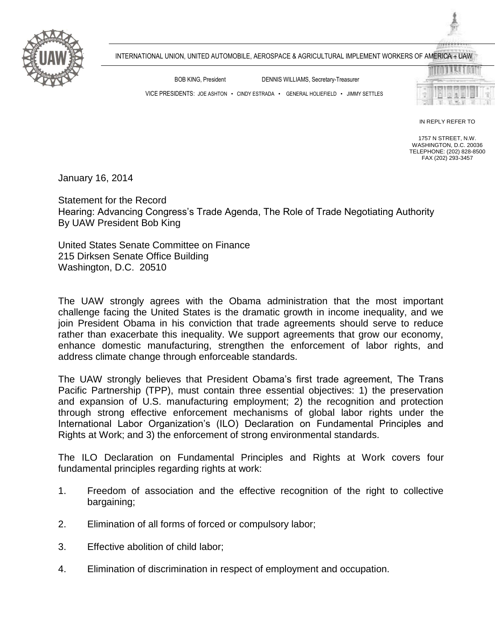

VICE PRESIDENTS: JOE ASHTON • CINDY ESTRADA • GENERAL HOLIEFIELD • JIMMY SETTLES

BOB KING, President DENNIS WILLIAMS, Secretary-Treasurer



IN REPLY REFER TO

1757 N STREET, N.W. WASHINGTON, D.C. 20036 TELEPHONE: (202) 828-8500 FAX (202) 293-3457

January 16, 2014

Statement for the Record Hearing: Advancing Congress's Trade Agenda, The Role of Trade Negotiating Authority By UAW President Bob King

United States Senate Committee on Finance 215 Dirksen Senate Office Building Washington, D.C. 20510

The UAW strongly agrees with the Obama administration that the most important challenge facing the United States is the dramatic growth in income inequality, and we join President Obama in his conviction that trade agreements should serve to reduce rather than exacerbate this inequality. We support agreements that grow our economy, enhance domestic manufacturing, strengthen the enforcement of labor rights, and address climate change through enforceable standards.

The UAW strongly believes that President Obama's first trade agreement, The Trans Pacific Partnership (TPP), must contain three essential objectives: 1) the preservation and expansion of U.S. manufacturing employment; 2) the recognition and protection through strong effective enforcement mechanisms of global labor rights under the International Labor Organization's (ILO) Declaration on Fundamental Principles and Rights at Work; and 3) the enforcement of strong environmental standards.

The ILO Declaration on Fundamental Principles and Rights at Work covers four fundamental principles regarding rights at work:

- 1. Freedom of association and the effective recognition of the right to collective bargaining;
- 2. Elimination of all forms of forced or compulsory labor;
- 3. Effective abolition of child labor;
- 4. Elimination of discrimination in respect of employment and occupation.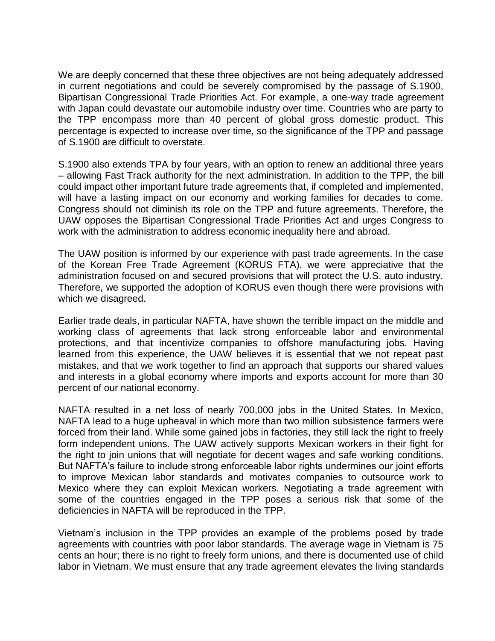We are deeply concerned that these three objectives are not being adequately addressed in current negotiations and could be severely compromised by the passage of S.1900, Bipartisan Congressional Trade Priorities Act. For example, a one-way trade agreement with Japan could devastate our automobile industry over time. Countries who are party to the TPP encompass more than 40 percent of global gross domestic product. This percentage is expected to increase over time, so the significance of the TPP and passage of S.1900 are difficult to overstate.

S.1900 also extends TPA by four years, with an option to renew an additional three years – allowing Fast Track authority for the next administration. In addition to the TPP, the bill could impact other important future trade agreements that, if completed and implemented, will have a lasting impact on our economy and working families for decades to come. Congress should not diminish its role on the TPP and future agreements. Therefore, the UAW opposes the Bipartisan Congressional Trade Priorities Act and urges Congress to work with the administration to address economic inequality here and abroad.

The UAW position is informed by our experience with past trade agreements. In the case of the Korean Free Trade Agreement (KORUS FTA), we were appreciative that the administration focused on and secured provisions that will protect the U.S. auto industry. Therefore, we supported the adoption of KORUS even though there were provisions with which we disagreed.

Earlier trade deals, in particular NAFTA, have shown the terrible impact on the middle and working class of agreements that lack strong enforceable labor and environmental protections, and that incentivize companies to offshore manufacturing jobs. Having learned from this experience, the UAW believes it is essential that we not repeat past mistakes, and that we work together to find an approach that supports our shared values and interests in a global economy where imports and exports account for more than 30 percent of our national economy.

NAFTA resulted in a net loss of nearly 700,000 jobs in the United States. In Mexico, NAFTA lead to a huge upheaval in which more than two million subsistence farmers were forced from their land. While some gained jobs in factories, they still lack the right to freely form independent unions. The UAW actively supports Mexican workers in their fight for the right to join unions that will negotiate for decent wages and safe working conditions. But NAFTA's failure to include strong enforceable labor rights undermines our joint efforts to improve Mexican labor standards and motivates companies to outsource work to Mexico where they can exploit Mexican workers. Negotiating a trade agreement with some of the countries engaged in the TPP poses a serious risk that some of the deficiencies in NAFTA will be reproduced in the TPP.

Vietnam's inclusion in the TPP provides an example of the problems posed by trade agreements with countries with poor labor standards. The average wage in Vietnam is 75 cents an hour; there is no right to freely form unions, and there is documented use of child labor in Vietnam. We must ensure that any trade agreement elevates the living standards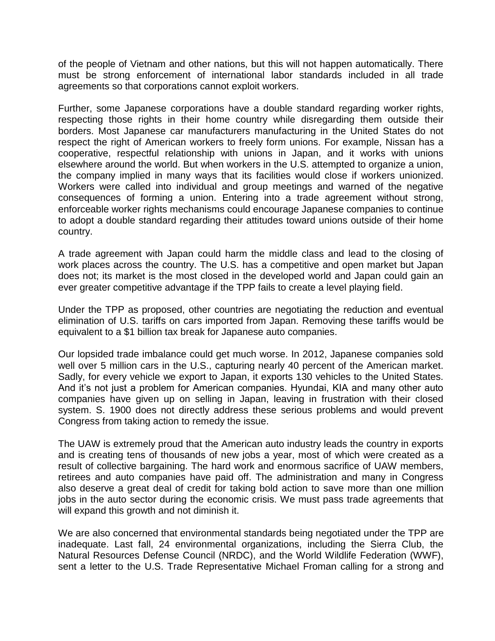of the people of Vietnam and other nations, but this will not happen automatically. There must be strong enforcement of international labor standards included in all trade agreements so that corporations cannot exploit workers.

Further, some Japanese corporations have a double standard regarding worker rights, respecting those rights in their home country while disregarding them outside their borders. Most Japanese car manufacturers manufacturing in the United States do not respect the right of American workers to freely form unions. For example, Nissan has a cooperative, respectful relationship with unions in Japan, and it works with unions elsewhere around the world. But when workers in the U.S. attempted to organize a union, the company implied in many ways that its facilities would close if workers unionized. Workers were called into individual and group meetings and warned of the negative consequences of forming a union. Entering into a trade agreement without strong, enforceable worker rights mechanisms could encourage Japanese companies to continue to adopt a double standard regarding their attitudes toward unions outside of their home country.

A trade agreement with Japan could harm the middle class and lead to the closing of work places across the country. The U.S. has a competitive and open market but Japan does not; its market is the most closed in the developed world and Japan could gain an ever greater competitive advantage if the TPP fails to create a level playing field.

Under the TPP as proposed, other countries are negotiating the reduction and eventual elimination of U.S. tariffs on cars imported from Japan. Removing these tariffs would be equivalent to a \$1 billion tax break for Japanese auto companies.

Our lopsided trade imbalance could get much worse. In 2012, Japanese companies sold well over 5 million cars in the U.S., capturing nearly 40 percent of the American market. Sadly, for every vehicle we export to Japan, it exports 130 vehicles to the United States. And it's not just a problem for American companies. Hyundai, KIA and many other auto companies have given up on selling in Japan, leaving in frustration with their closed system. S. 1900 does not directly address these serious problems and would prevent Congress from taking action to remedy the issue.

The UAW is extremely proud that the American auto industry leads the country in exports and is creating tens of thousands of new jobs a year, most of which were created as a result of collective bargaining. The hard work and enormous sacrifice of UAW members, retirees and auto companies have paid off. The administration and many in Congress also deserve a great deal of credit for taking bold action to save more than one million jobs in the auto sector during the economic crisis. We must pass trade agreements that will expand this growth and not diminish it.

We are also concerned that environmental standards being negotiated under the TPP are inadequate. Last fall, 24 environmental organizations, including the Sierra Club, the Natural Resources Defense Council (NRDC), and the World Wildlife Federation (WWF), sent a letter to the U.S. Trade Representative Michael Froman calling for a strong and